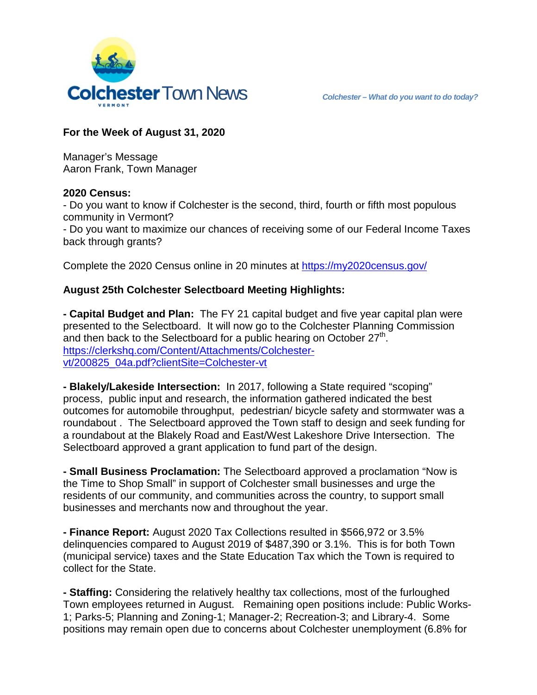

## **For the Week of August 31, 2020**

Manager's Message Aaron Frank, Town Manager

## **2020 Census:**

- Do you want to know if Colchester is the second, third, fourth or fifth most populous community in Vermont?

- Do you want to maximize our chances of receiving some of our Federal Income Taxes back through grants?

Complete the 2020 Census online in 20 minutes at<https://my2020census.gov/>

## **August 25th Colchester Selectboard Meeting Highlights:**

**- Capital Budget and Plan:** The FY 21 capital budget and five year capital plan were presented to the Selectboard. It will now go to the Colchester Planning Commission and then back to the Selectboard for a public hearing on October  $27<sup>th</sup>$ . https://clerkshg.com/Content/Attachments/Colchester[vt/200825\\_04a.pdf?clientSite=Colchester-vt](https://clerkshq.com/Content/Attachments/Colchester-vt/200825_04a.pdf?clientSite=Colchester-vt)

**- Blakely/Lakeside Intersection:** In 2017, following a State required "scoping" process, public input and research, the information gathered indicated the best outcomes for automobile throughput, pedestrian/ bicycle safety and stormwater was a roundabout . The Selectboard approved the Town staff to design and seek funding for a roundabout at the Blakely Road and East/West Lakeshore Drive Intersection. The Selectboard approved a grant application to fund part of the design.

**- Small Business Proclamation:** The Selectboard approved a proclamation "Now is the Time to Shop Small" in support of Colchester small businesses and urge the residents of our community, and communities across the country, to support small businesses and merchants now and throughout the year.

**- Finance Report:** August 2020 Tax Collections resulted in \$566,972 or 3.5% delinquencies compared to August 2019 of \$487,390 or 3.1%. This is for both Town (municipal service) taxes and the State Education Tax which the Town is required to collect for the State.

**- Staffing:** Considering the relatively healthy tax collections, most of the furloughed Town employees returned in August. Remaining open positions include: Public Works-1; Parks-5; Planning and Zoning-1; Manager-2; Recreation-3; and Library-4. Some positions may remain open due to concerns about Colchester unemployment (6.8% for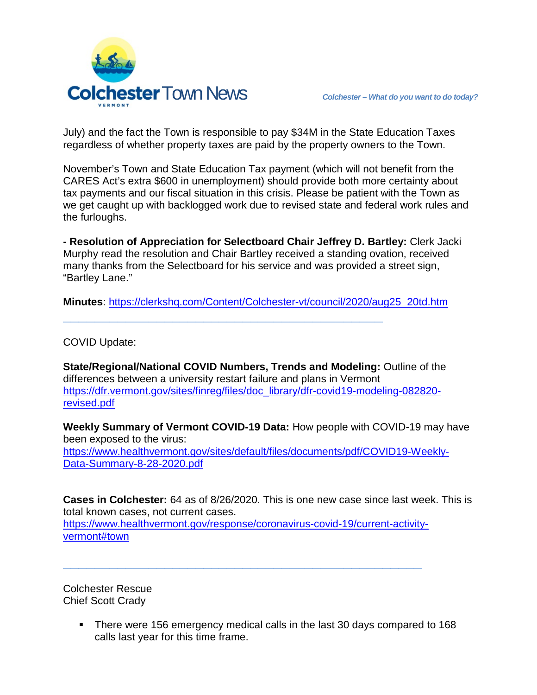

July) and the fact the Town is responsible to pay \$34M in the State Education Taxes regardless of whether property taxes are paid by the property owners to the Town.

November's Town and State Education Tax payment (which will not benefit from the CARES Act's extra \$600 in unemployment) should provide both more certainty about tax payments and our fiscal situation in this crisis. Please be patient with the Town as we get caught up with backlogged work due to revised state and federal work rules and the furloughs.

**- Resolution of Appreciation for Selectboard Chair Jeffrey D. Bartley:** Clerk Jacki Murphy read the resolution and Chair Bartley received a standing ovation, received many thanks from the Selectboard for his service and was provided a street sign, "Bartley Lane."

**Minutes**: [https://clerkshq.com/Content/Colchester-vt/council/2020/aug25\\_20td.htm](https://clerkshq.com/Content/Colchester-vt/council/2020/aug25_20td.htm)

**\_\_\_\_\_\_\_\_\_\_\_\_\_\_\_\_\_\_\_\_\_\_\_\_\_\_\_\_\_\_\_\_\_\_\_\_\_\_\_\_\_**

COVID Update:

**State/Regional/National COVID Numbers, Trends and Modeling:** Outline of the differences between a university restart failure and plans in Vermont [https://dfr.vermont.gov/sites/finreg/files/doc\\_library/dfr-covid19-modeling-082820](https://dfr.vermont.gov/sites/finreg/files/doc_library/dfr-covid19-modeling-082820-revised.pdf) [revised.pdf](https://dfr.vermont.gov/sites/finreg/files/doc_library/dfr-covid19-modeling-082820-revised.pdf)

**Weekly Summary of Vermont COVID-19 Data:** How people with COVID-19 may have been exposed to the virus: [https://www.healthvermont.gov/sites/default/files/documents/pdf/COVID19-Weekly-](https://www.healthvermont.gov/sites/default/files/documents/pdf/COVID19-Weekly-Data-Summary-8-28-2020.pdf)[Data-Summary-8-28-2020.pdf](https://www.healthvermont.gov/sites/default/files/documents/pdf/COVID19-Weekly-Data-Summary-8-28-2020.pdf)

**Cases in Colchester:** 64 as of 8/26/2020. This is one new case since last week. This is total known cases, not current cases. [https://www.healthvermont.gov/response/coronavirus-covid-19/current-activity](https://www.healthvermont.gov/response/coronavirus-covid-19/current-activity-vermont#town)[vermont#town](https://www.healthvermont.gov/response/coronavirus-covid-19/current-activity-vermont#town)

**\_\_\_\_\_\_\_\_\_\_\_\_\_\_\_\_\_\_\_\_\_\_\_\_\_\_\_\_\_\_\_\_\_\_\_\_\_\_\_\_\_\_\_\_\_\_**

Colchester Rescue Chief Scott Crady

> There were 156 emergency medical calls in the last 30 days compared to 168 calls last year for this time frame.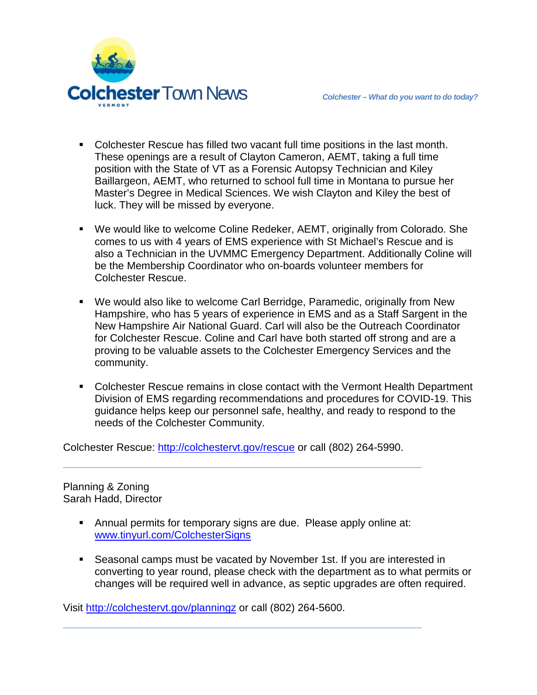

- Colchester Rescue has filled two vacant full time positions in the last month. These openings are a result of Clayton Cameron, AEMT, taking a full time position with the State of VT as a Forensic Autopsy Technician and Kiley Baillargeon, AEMT, who returned to school full time in Montana to pursue her Master's Degree in Medical Sciences. We wish Clayton and Kiley the best of luck. They will be missed by everyone.
- We would like to welcome Coline Redeker, AEMT, originally from Colorado. She comes to us with 4 years of EMS experience with St Michael's Rescue and is also a Technician in the UVMMC Emergency Department. Additionally Coline will be the Membership Coordinator who on-boards volunteer members for Colchester Rescue.
- We would also like to welcome Carl Berridge, Paramedic, originally from New Hampshire, who has 5 years of experience in EMS and as a Staff Sargent in the New Hampshire Air National Guard. Carl will also be the Outreach Coordinator for Colchester Rescue. Coline and Carl have both started off strong and are a proving to be valuable assets to the Colchester Emergency Services and the community.
- Colchester Rescue remains in close contact with the Vermont Health Department Division of EMS regarding recommendations and procedures for COVID-19. This guidance helps keep our personnel safe, healthy, and ready to respond to the needs of the Colchester Community.

Colchester Rescue: [http://colchestervt.gov/rescue](http://colchestervt.gov/rescue/index.shtml) or call (802) 264-5990.

**\_\_\_\_\_\_\_\_\_\_\_\_\_\_\_\_\_\_\_\_\_\_\_\_\_\_\_\_\_\_\_\_\_\_\_\_\_\_\_\_\_\_\_\_\_\_**

Planning & Zoning Sarah Hadd, Director

> Annual permits for temporary signs are due. Please apply online at: [www.tinyurl.com/ColchesterSigns](http://www.tinyurl.com/ColchesterSigns)

**\_\_\_\_\_\_\_\_\_\_\_\_\_\_\_\_\_\_\_\_\_\_\_\_\_\_\_\_\_\_\_\_\_\_\_\_\_\_\_\_\_\_\_\_\_\_**

 Seasonal camps must be vacated by November 1st. If you are interested in converting to year round, please check with the department as to what permits or changes will be required well in advance, as septic upgrades are often required.

Visit<http://colchestervt.gov/planningz> or call (802) 264-5600.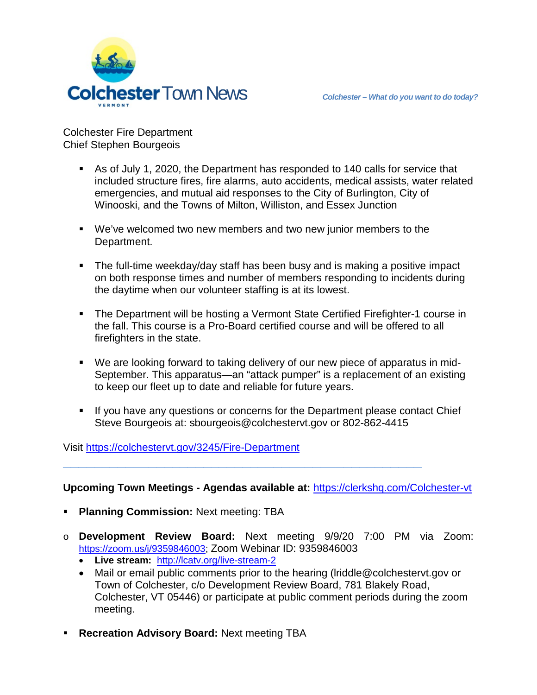



Colchester Fire Department Chief Stephen Bourgeois

- As of July 1, 2020, the Department has responded to 140 calls for service that included structure fires, fire alarms, auto accidents, medical assists, water related emergencies, and mutual aid responses to the City of Burlington, City of Winooski, and the Towns of Milton, Williston, and Essex Junction
- We've welcomed two new members and two new junior members to the Department.
- The full-time weekday/day staff has been busy and is making a positive impact on both response times and number of members responding to incidents during the daytime when our volunteer staffing is at its lowest.
- The Department will be hosting a Vermont State Certified Firefighter-1 course in the fall. This course is a Pro-Board certified course and will be offered to all firefighters in the state.
- We are looking forward to taking delivery of our new piece of apparatus in mid-September. This apparatus—an "attack pumper" is a replacement of an existing to keep our fleet up to date and reliable for future years.
- If you have any questions or concerns for the Department please contact Chief Steve Bourgeois at: sbourgeois@colchestervt.gov or 802-862-4415

Visit<https://colchestervt.gov/3245/Fire-Department>

**Upcoming Town Meetings - Agendas available at:** <https://clerkshq.com/Colchester-vt>

**\_\_\_\_\_\_\_\_\_\_\_\_\_\_\_\_\_\_\_\_\_\_\_\_\_\_\_\_\_\_\_\_\_\_\_\_\_\_\_\_\_\_\_\_\_\_**

- **Planning Commission:** Next meeting: TBA
- o **Development Review Board:** Next meeting 9/9/20 7:00 PM via Zoom: [https://zoom.us/j/9359846003;](https://zoom.us/j/9359846003) Zoom Webinar ID: 9359846003
	- **Live stream:** <http://lcatv.org/live-stream-2>
	- Mail or email public comments prior to the hearing (lriddle@colchestervt.gov or Town of Colchester, c/o Development Review Board, 781 Blakely Road, Colchester, VT 05446) or participate at public comment periods during the zoom meeting.
- **Recreation Advisory Board:** Next meeting TBA